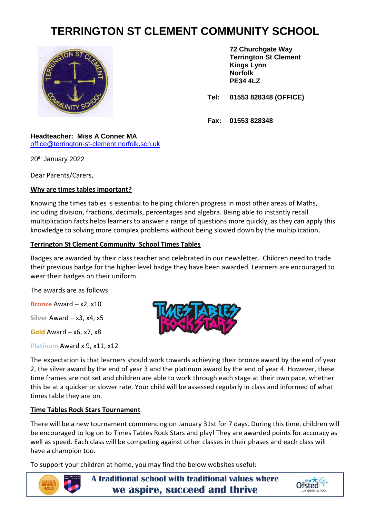# **TERRINGTON ST CLEMENT COMMUNITY SCHOOL**



**72 Churchgate Way Terrington St Clement Kings Lynn Norfolk PE34 4LZ**

**Tel: 01553 828348 (OFFICE)**

**Fax: 01553 828348**

#### **Headteacher: Miss A Conner MA** [office@terrington-st-clement.norfolk.sch.uk](mailto:office@terrington-st-clement.norfolk.sch.uk)

20th January 2022

Dear Parents/Carers,

## **Why are times tables important?**

Knowing the times tables is essential to helping children progress in most other areas of Maths, including division, fractions, decimals, percentages and algebra. Being able to instantly recall multiplication facts helps learners to answer a range of questions more quickly, as they can apply this knowledge to solving more complex problems without being slowed down by the multiplication.

#### **Terrington St Clement Community School Times Tables**

Badges are awarded by their class teacher and celebrated in our newsletter. Children need to trade their previous badge for the higher level badge they have been awarded*.* Learners are encouraged to wear their badges on their uniform.

The awards are as follows:

**Bronze** Award – x2, x10

**Silver** Award – x3, x4, x5

**Gold** Award – x6, x7, x8

**Platinum** Award x 9, x11, x12



The expectation is that learners should work towards achieving their bronze award by the end of year 2, the silver award by the end of year 3 and the platinum award by the end of year 4. However, these time frames are not set and children are able to work through each stage at their own pace, whether this be at a quicker or slower rate. Your child will be assessed regularly in class and informed of what times table they are on.

## **Time Tables Rock Stars Tournament**

There will be a new tournament commencing on January 31st for 7 days. During this time, children will be encouraged to log on to Times Tables Rock Stars and play! They are awarded points for accuracy as well as speed. Each class will be competing against other classes in their phases and each class will have a champion too.

To support your children at home, you may find the below websites useful:



**A traditional school with traditional values where we aspire, succeed and thrive**